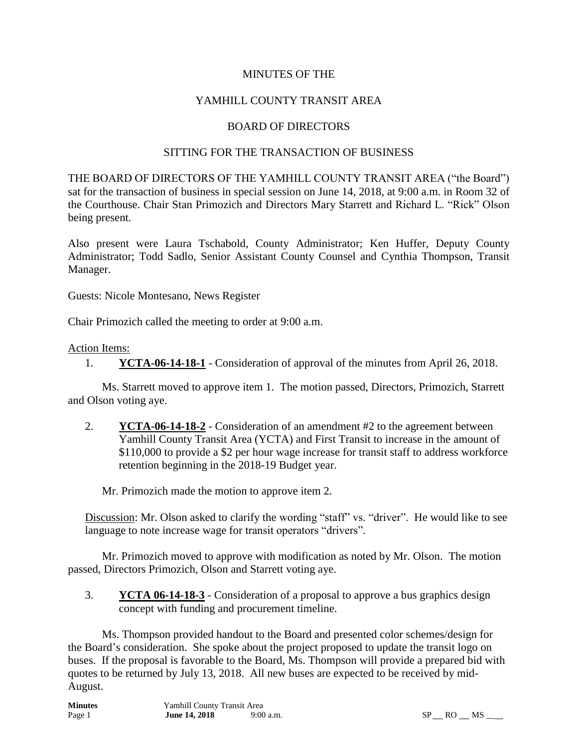# MINUTES OF THE

# YAMHILL COUNTY TRANSIT AREA

# BOARD OF DIRECTORS

#### SITTING FOR THE TRANSACTION OF BUSINESS

THE BOARD OF DIRECTORS OF THE YAMHILL COUNTY TRANSIT AREA ("the Board") sat for the transaction of business in special session on June 14, 2018, at 9:00 a.m. in Room 32 of the Courthouse. Chair Stan Primozich and Directors Mary Starrett and Richard L. "Rick" Olson being present.

Also present were Laura Tschabold, County Administrator; Ken Huffer, Deputy County Administrator; Todd Sadlo, Senior Assistant County Counsel and Cynthia Thompson, Transit Manager.

Guests: Nicole Montesano, News Register

Chair Primozich called the meeting to order at 9:00 a.m.

#### Action Items:

1. **YCTA-06-14-18-1** - Consideration of approval of the minutes from April 26, 2018.

Ms. Starrett moved to approve item 1. The motion passed, Directors, Primozich, Starrett and Olson voting aye.

2. **YCTA-06-14-18-2** - Consideration of an amendment #2 to the agreement between Yamhill County Transit Area (YCTA) and First Transit to increase in the amount of \$110,000 to provide a \$2 per hour wage increase for transit staff to address workforce retention beginning in the 2018-19 Budget year.

Mr. Primozich made the motion to approve item 2.

Discussion: Mr. Olson asked to clarify the wording "staff" vs. "driver". He would like to see language to note increase wage for transit operators "drivers".

 Mr. Primozich moved to approve with modification as noted by Mr. Olson. The motion passed, Directors Primozich, Olson and Starrett voting aye.

3. **YCTA 06-14-18-3** - Consideration of a proposal to approve a bus graphics design concept with funding and procurement timeline.

Ms. Thompson provided handout to the Board and presented color schemes/design for the Board's consideration. She spoke about the project proposed to update the transit logo on buses. If the proposal is favorable to the Board, Ms. Thompson will provide a prepared bid with quotes to be returned by July 13, 2018. All new buses are expected to be received by mid-August.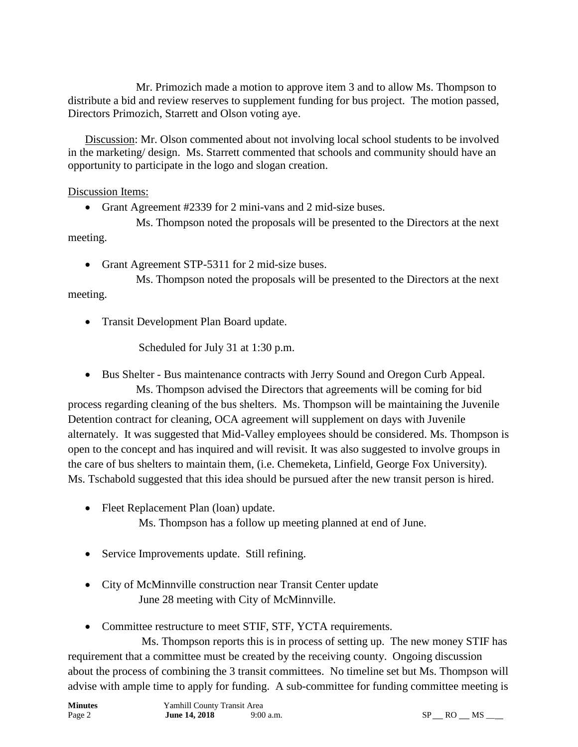Mr. Primozich made a motion to approve item 3 and to allow Ms. Thompson to distribute a bid and review reserves to supplement funding for bus project. The motion passed, Directors Primozich, Starrett and Olson voting aye.

Discussion: Mr. Olson commented about not involving local school students to be involved in the marketing/ design. Ms. Starrett commented that schools and community should have an opportunity to participate in the logo and slogan creation.

# Discussion Items:

Grant Agreement #2339 for 2 mini-vans and 2 mid-size buses.

Ms. Thompson noted the proposals will be presented to the Directors at the next meeting.

• Grant Agreement STP-5311 for 2 mid-size buses.

Ms. Thompson noted the proposals will be presented to the Directors at the next meeting.

• Transit Development Plan Board update.

Scheduled for July 31 at 1:30 p.m.

Bus Shelter - Bus maintenance contracts with Jerry Sound and Oregon Curb Appeal.

Ms. Thompson advised the Directors that agreements will be coming for bid process regarding cleaning of the bus shelters. Ms. Thompson will be maintaining the Juvenile Detention contract for cleaning, OCA agreement will supplement on days with Juvenile alternately. It was suggested that Mid-Valley employees should be considered. Ms. Thompson is open to the concept and has inquired and will revisit. It was also suggested to involve groups in the care of bus shelters to maintain them, (i.e. Chemeketa, Linfield, George Fox University). Ms. Tschabold suggested that this idea should be pursued after the new transit person is hired.

• Fleet Replacement Plan (loan) update.

Ms. Thompson has a follow up meeting planned at end of June.

- Service Improvements update. Still refining.
- City of McMinnville construction near Transit Center update June 28 meeting with City of McMinnville.
- Committee restructure to meet STIF, STF, YCTA requirements.

 Ms. Thompson reports this is in process of setting up. The new money STIF has requirement that a committee must be created by the receiving county. Ongoing discussion about the process of combining the 3 transit committees. No timeline set but Ms. Thompson will advise with ample time to apply for funding. A sub-committee for funding committee meeting is